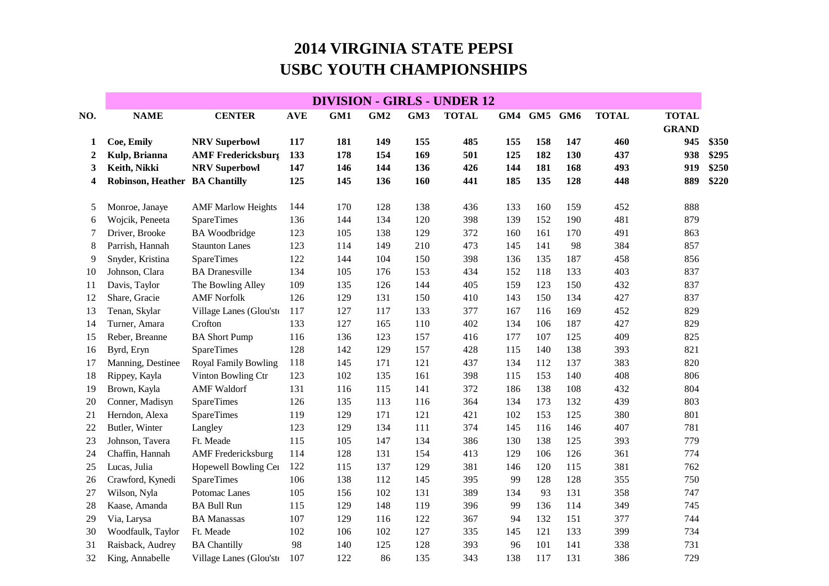## **2014 VIRGINIA STATE PEPSIUSBC YOUTH CHAMPIONSHIPS**

|                  | <b>DIVISION - GIRLS - UNDER 12</b> |                             |            |     |                 |     |              |     |         |     |              |                              |       |
|------------------|------------------------------------|-----------------------------|------------|-----|-----------------|-----|--------------|-----|---------|-----|--------------|------------------------------|-------|
| NO.              | <b>NAME</b>                        | <b>CENTER</b>               | <b>AVE</b> | GM1 | GM <sub>2</sub> | GM3 | <b>TOTAL</b> | GM4 | GM5 GM6 |     | <b>TOTAL</b> | <b>TOTAL</b><br><b>GRAND</b> |       |
| 1                | Coe, Emily                         | <b>NRV Superbowl</b>        | 117        | 181 | 149             | 155 | 485          | 155 | 158     | 147 | 460          | 945                          | \$350 |
| $\boldsymbol{2}$ | Kulp, Brianna                      | <b>AMF Fredericksburg</b>   | 133        | 178 | 154             | 169 | 501          | 125 | 182     | 130 | 437          | 938                          | \$295 |
| 3                | Keith, Nikki                       | <b>NRV Superbowl</b>        | 147        | 146 | 144             | 136 | 426          | 144 | 181     | 168 | 493          | 919                          | \$250 |
| 4                | Robinson, Heather BA Chantilly     |                             | 125        | 145 | 136             | 160 | 441          | 185 | 135     | 128 | 448          | 889                          | \$220 |
| 5                | Monroe, Janaye                     | <b>AMF Marlow Heights</b>   | 144        | 170 | 128             | 138 | 436          | 133 | 160     | 159 | 452          | 888                          |       |
| 6                | Wojcik, Peneeta                    | <b>SpareTimes</b>           | 136        | 144 | 134             | 120 | 398          | 139 | 152     | 190 | 481          | 879                          |       |
| 7                | Driver, Brooke                     | <b>BA</b> Woodbridge        | 123        | 105 | 138             | 129 | 372          | 160 | 161     | 170 | 491          | 863                          |       |
| 8                | Parrish, Hannah                    | <b>Staunton Lanes</b>       | 123        | 114 | 149             | 210 | 473          | 145 | 141     | 98  | 384          | 857                          |       |
| 9                | Snyder, Kristina                   | SpareTimes                  | 122        | 144 | 104             | 150 | 398          | 136 | 135     | 187 | 458          | 856                          |       |
| 10               | Johnson, Clara                     | <b>BA</b> Dranesville       | 134        | 105 | 176             | 153 | 434          | 152 | 118     | 133 | 403          | 837                          |       |
| 11               | Davis, Taylor                      | The Bowling Alley           | 109        | 135 | 126             | 144 | 405          | 159 | 123     | 150 | 432          | 837                          |       |
| 12               | Share, Gracie                      | <b>AMF Norfolk</b>          | 126        | 129 | 131             | 150 | 410          | 143 | 150     | 134 | 427          | 837                          |       |
| 13               | Tenan, Skylar                      | Village Lanes (Glou'ste     | 117        | 127 | 117             | 133 | 377          | 167 | 116     | 169 | 452          | 829                          |       |
| 14               | Turner, Amara                      | Crofton                     | 133        | 127 | 165             | 110 | 402          | 134 | 106     | 187 | 427          | 829                          |       |
| 15               | Reber, Breanne                     | <b>BA Short Pump</b>        | 116        | 136 | 123             | 157 | 416          | 177 | 107     | 125 | 409          | 825                          |       |
| 16               | Byrd, Eryn                         | <b>SpareTimes</b>           | 128        | 142 | 129             | 157 | 428          | 115 | 140     | 138 | 393          | 821                          |       |
| 17               | Manning, Destinee                  | <b>Royal Family Bowling</b> | 118        | 145 | 171             | 121 | 437          | 134 | 112     | 137 | 383          | 820                          |       |
| 18               | Rippey, Kayla                      | Vinton Bowling Ctr          | 123        | 102 | 135             | 161 | 398          | 115 | 153     | 140 | 408          | 806                          |       |
| 19               | Brown, Kayla                       | <b>AMF</b> Waldorf          | 131        | 116 | 115             | 141 | 372          | 186 | 138     | 108 | 432          | 804                          |       |
| 20               | Conner, Madisyn                    | <b>SpareTimes</b>           | 126        | 135 | 113             | 116 | 364          | 134 | 173     | 132 | 439          | 803                          |       |
| 21               | Herndon, Alexa                     | <b>SpareTimes</b>           | 119        | 129 | 171             | 121 | 421          | 102 | 153     | 125 | 380          | 801                          |       |
| 22               | Butler, Winter                     | Langley                     | 123        | 129 | 134             | 111 | 374          | 145 | 116     | 146 | 407          | 781                          |       |
| 23               | Johnson, Tavera                    | Ft. Meade                   | 115        | 105 | 147             | 134 | 386          | 130 | 138     | 125 | 393          | 779                          |       |
| 24               | Chaffin, Hannah                    | <b>AMF</b> Fredericksburg   | 114        | 128 | 131             | 154 | 413          | 129 | 106     | 126 | 361          | 774                          |       |
| 25               | Lucas, Julia                       | Hopewell Bowling Cer        | 122        | 115 | 137             | 129 | 381          | 146 | 120     | 115 | 381          | 762                          |       |
| 26               | Crawford, Kynedi                   | SpareTimes                  | 106        | 138 | 112             | 145 | 395          | 99  | 128     | 128 | 355          | 750                          |       |
| 27               | Wilson, Nyla                       | Potomac Lanes               | 105        | 156 | 102             | 131 | 389          | 134 | 93      | 131 | 358          | 747                          |       |
| 28               | Kaase, Amanda                      | <b>BA Bull Run</b>          | 115        | 129 | 148             | 119 | 396          | 99  | 136     | 114 | 349          | 745                          |       |
| 29               | Via, Larysa                        | <b>BA</b> Manassas          | 107        | 129 | 116             | 122 | 367          | 94  | 132     | 151 | 377          | 744                          |       |
| 30               | Woodfaulk, Taylor                  | Ft. Meade                   | 102        | 106 | 102             | 127 | 335          | 145 | 121     | 133 | 399          | 734                          |       |
| 31               | Raisback, Audrey                   | <b>BA Chantilly</b>         | 98         | 140 | 125             | 128 | 393          | 96  | 101     | 141 | 338          | 731                          |       |
| 32               | King, Annabelle                    | Village Lanes (Glou'ste     | 107        | 122 | 86              | 135 | 343          | 138 | 117     | 131 | 386          | 729                          |       |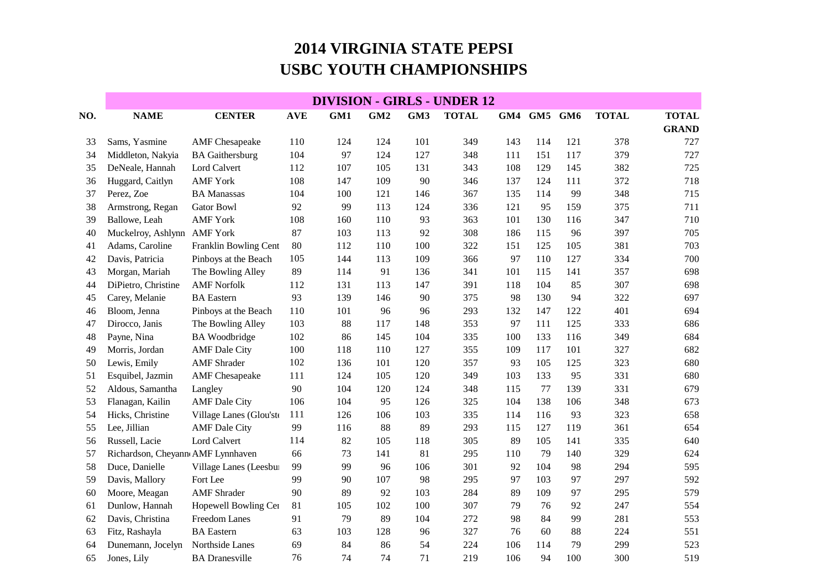## **2014 VIRGINIA STATE PEPSIUSBC YOUTH CHAMPIONSHIPS**

|     | <b>DIVISION - GIRLS - UNDER 12</b> |                         |            |     |     |     |              |     |         |     |              |              |
|-----|------------------------------------|-------------------------|------------|-----|-----|-----|--------------|-----|---------|-----|--------------|--------------|
| NO. | <b>NAME</b>                        | <b>CENTER</b>           | <b>AVE</b> | GM1 | GM2 | GM3 | <b>TOTAL</b> | GM4 | GM5 GM6 |     | <b>TOTAL</b> | <b>TOTAL</b> |
|     |                                    |                         |            |     |     |     |              |     |         |     |              | <b>GRAND</b> |
| 33  | Sams, Yasmine                      | <b>AMF</b> Chesapeake   | 110        | 124 | 124 | 101 | 349          | 143 | 114     | 121 | 378          | 727          |
| 34  | Middleton, Nakyia                  | <b>BA</b> Gaithersburg  | 104        | 97  | 124 | 127 | 348          | 111 | 151     | 117 | 379          | 727          |
| 35  | DeNeale, Hannah                    | Lord Calvert            | 112        | 107 | 105 | 131 | 343          | 108 | 129     | 145 | 382          | 725          |
| 36  | Huggard, Caitlyn                   | <b>AMF York</b>         | 108        | 147 | 109 | 90  | 346          | 137 | 124     | 111 | 372          | 718          |
| 37  | Perez, Zoe                         | <b>BA</b> Manassas      | 104        | 100 | 121 | 146 | 367          | 135 | 114     | 99  | 348          | 715          |
| 38  | Armstrong, Regan                   | <b>Gator Bowl</b>       | 92         | 99  | 113 | 124 | 336          | 121 | 95      | 159 | 375          | 711          |
| 39  | Ballowe, Leah                      | <b>AMF York</b>         | 108        | 160 | 110 | 93  | 363          | 101 | 130     | 116 | 347          | 710          |
| 40  | Muckelroy, Ashlynn AMF York        |                         | 87         | 103 | 113 | 92  | 308          | 186 | 115     | 96  | 397          | 705          |
| 41  | Adams, Caroline                    | Franklin Bowling Cent   | 80         | 112 | 110 | 100 | 322          | 151 | 125     | 105 | 381          | 703          |
| 42  | Davis, Patricia                    | Pinboys at the Beach    | 105        | 144 | 113 | 109 | 366          | 97  | 110     | 127 | 334          | 700          |
| 43  | Morgan, Mariah                     | The Bowling Alley       | 89         | 114 | 91  | 136 | 341          | 101 | 115     | 141 | 357          | 698          |
| 44  | DiPietro, Christine                | <b>AMF Norfolk</b>      | 112        | 131 | 113 | 147 | 391          | 118 | 104     | 85  | 307          | 698          |
| 45  | Carey, Melanie                     | <b>BA</b> Eastern       | 93         | 139 | 146 | 90  | 375          | 98  | 130     | 94  | 322          | 697          |
| 46  | Bloom, Jenna                       | Pinboys at the Beach    | 110        | 101 | 96  | 96  | 293          | 132 | 147     | 122 | 401          | 694          |
| 47  | Dirocco, Janis                     | The Bowling Alley       | 103        | 88  | 117 | 148 | 353          | 97  | 111     | 125 | 333          | 686          |
| 48  | Payne, Nina                        | <b>BA</b> Woodbridge    | 102        | 86  | 145 | 104 | 335          | 100 | 133     | 116 | 349          | 684          |
| 49  | Morris, Jordan                     | <b>AMF</b> Dale City    | 100        | 118 | 110 | 127 | 355          | 109 | 117     | 101 | 327          | 682          |
| 50  | Lewis, Emily                       | <b>AMF</b> Shrader      | 102        | 136 | 101 | 120 | 357          | 93  | 105     | 125 | 323          | 680          |
| 51  | Esquibel, Jazmin                   | <b>AMF</b> Chesapeake   | 111        | 124 | 105 | 120 | 349          | 103 | 133     | 95  | 331          | 680          |
| 52  | Aldous, Samantha                   | Langley                 | 90         | 104 | 120 | 124 | 348          | 115 | 77      | 139 | 331          | 679          |
| 53  | Flanagan, Kailin                   | <b>AMF</b> Dale City    | 106        | 104 | 95  | 126 | 325          | 104 | 138     | 106 | 348          | 673          |
| 54  | Hicks, Christine                   | Village Lanes (Glou'ste | 111        | 126 | 106 | 103 | 335          | 114 | 116     | 93  | 323          | 658          |
| 55  | Lee, Jillian                       | <b>AMF</b> Dale City    | 99         | 116 | 88  | 89  | 293          | 115 | 127     | 119 | 361          | 654          |
| 56  | Russell, Lacie                     | Lord Calvert            | 114        | 82  | 105 | 118 | 305          | 89  | 105     | 141 | 335          | 640          |
| 57  | Richardson, Cheyann AMF Lynnhaven  |                         | 66         | 73  | 141 | 81  | 295          | 110 | 79      | 140 | 329          | 624          |
| 58  | Duce, Danielle                     | Village Lanes (Leesbur  | 99         | 99  | 96  | 106 | 301          | 92  | 104     | 98  | 294          | 595          |
| 59  | Davis, Mallory                     | Fort Lee                | 99         | 90  | 107 | 98  | 295          | 97  | 103     | 97  | 297          | 592          |
| 60  | Moore, Meagan                      | <b>AMF</b> Shrader      | 90         | 89  | 92  | 103 | 284          | 89  | 109     | 97  | 295          | 579          |
| 61  | Dunlow, Hannah                     | Hopewell Bowling Cer    | 81         | 105 | 102 | 100 | 307          | 79  | 76      | 92  | 247          | 554          |
| 62  | Davis, Christina                   | Freedom Lanes           | 91         | 79  | 89  | 104 | 272          | 98  | 84      | 99  | 281          | 553          |
| 63  | Fitz, Rashayla                     | <b>BA</b> Eastern       | 63         | 103 | 128 | 96  | 327          | 76  | 60      | 88  | 224          | 551          |
| 64  | Dunemann, Jocelyn                  | Northside Lanes         | 69         | 84  | 86  | 54  | 224          | 106 | 114     | 79  | 299          | 523          |
| 65  | Jones, Lily                        | <b>BA</b> Dranesville   | 76         | 74  | 74  | 71  | 219          | 106 | 94      | 100 | 300          | 519          |